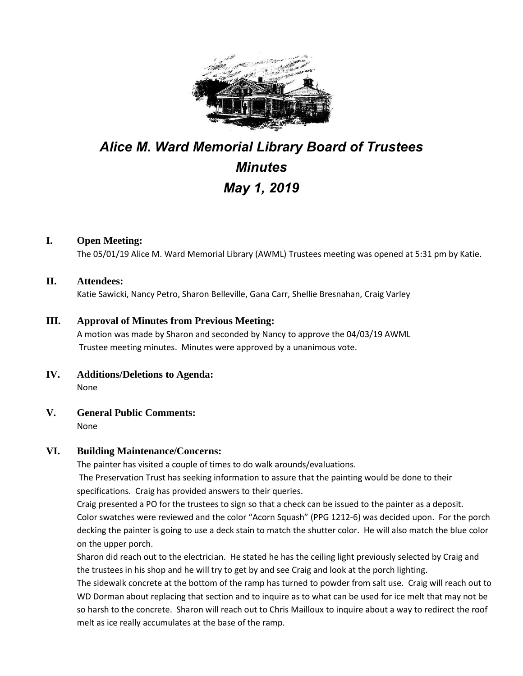

# *Alice M. Ward Memorial Library Board of Trustees Minutes May 1, 2019*

## **I. Open Meeting:**

The 05/01/19 Alice M. Ward Memorial Library (AWML) Trustees meeting was opened at 5:31 pm by Katie.

#### **II. Attendees:**

Katie Sawicki, Nancy Petro, Sharon Belleville, Gana Carr, Shellie Bresnahan, Craig Varley

## **III. Approval of Minutes from Previous Meeting:**

A motion was made by Sharon and seconded by Nancy to approve the 04/03/19 AWML Trustee meeting minutes. Minutes were approved by a unanimous vote.

- **IV. Additions/Deletions to Agenda:** None
- **V. General Public Comments:**

None

## **VI. Building Maintenance/Concerns:**

The painter has visited a couple of times to do walk arounds/evaluations.

The Preservation Trust has seeking information to assure that the painting would be done to their specifications. Craig has provided answers to their queries.

Craig presented a PO for the trustees to sign so that a check can be issued to the painter as a deposit. Color swatches were reviewed and the color "Acorn Squash" (PPG 1212-6) was decided upon. For the porch decking the painter is going to use a deck stain to match the shutter color. He will also match the blue color on the upper porch.

Sharon did reach out to the electrician. He stated he has the ceiling light previously selected by Craig and the trustees in his shop and he will try to get by and see Craig and look at the porch lighting.

The sidewalk concrete at the bottom of the ramp has turned to powder from salt use. Craig will reach out to WD Dorman about replacing that section and to inquire as to what can be used for ice melt that may not be so harsh to the concrete. Sharon will reach out to Chris Mailloux to inquire about a way to redirect the roof melt as ice really accumulates at the base of the ramp.